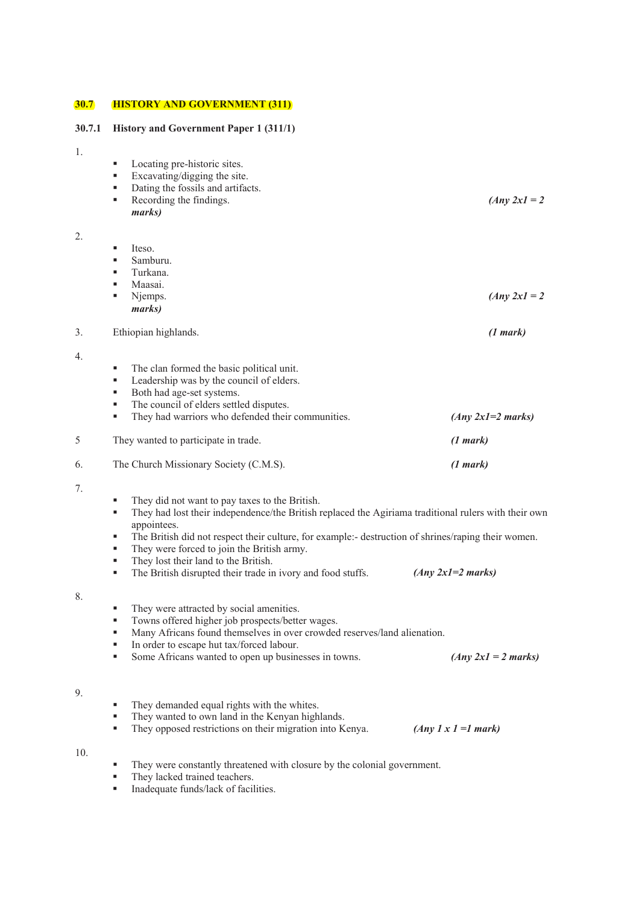# **30.7 HISTORY AND GOVERNMENT (311)**

# **30.7.1 History and Government Paper 1 (311/1)**

|  | ×<br>۰. |  |
|--|---------|--|

4.

7.

8.

9.

10.

| 1. |                                                                                                                                 |                                   |  |
|----|---------------------------------------------------------------------------------------------------------------------------------|-----------------------------------|--|
|    | Locating pre-historic sites.<br>٠                                                                                               |                                   |  |
|    | ٠<br>Excavating/digging the site.                                                                                               |                                   |  |
|    | Dating the fossils and artifacts.<br>٠                                                                                          |                                   |  |
|    | Recording the findings.<br>٠                                                                                                    | $(Any 2x1 = 2)$                   |  |
|    | marks)                                                                                                                          |                                   |  |
| 2. |                                                                                                                                 |                                   |  |
|    | Iteso.<br>٠                                                                                                                     |                                   |  |
|    | Samburu.<br>٠<br>Turkana.<br>٠                                                                                                  |                                   |  |
|    | Maasai.<br>٠                                                                                                                    |                                   |  |
|    | Njemps.<br>٠                                                                                                                    | $(Any 2x1 = 2)$                   |  |
|    | marks)                                                                                                                          |                                   |  |
| 3. | Ethiopian highlands.                                                                                                            | (1 mark)                          |  |
|    |                                                                                                                                 |                                   |  |
| 4. |                                                                                                                                 |                                   |  |
|    | The clan formed the basic political unit.<br>٠<br>Leadership was by the council of elders.<br>٠                                 |                                   |  |
|    | Both had age-set systems.<br>٠                                                                                                  |                                   |  |
|    | The council of elders settled disputes.<br>٠                                                                                    |                                   |  |
|    | They had warriors who defended their communities.<br>٠                                                                          | $(Any 2x1=2 marks)$               |  |
| 5  | They wanted to participate in trade.                                                                                            | (1 mark)                          |  |
| 6. | The Church Missionary Society (C.M.S).                                                                                          | (1 mark)                          |  |
| 7. |                                                                                                                                 |                                   |  |
|    | They did not want to pay taxes to the British.<br>٠                                                                             |                                   |  |
|    | They had lost their independence/the British replaced the Agiriama traditional rulers with their own<br>٠<br>appointees.        |                                   |  |
|    | The British did not respect their culture, for example:- destruction of shrines/raping their women.<br>٠                        |                                   |  |
|    | They were forced to join the British army.<br>٠                                                                                 |                                   |  |
|    | They lost their land to the British.<br>٠                                                                                       |                                   |  |
|    | The British disrupted their trade in ivory and food stuffs.<br>٠                                                                | $(Any 2x1=2 marks)$               |  |
| 8. |                                                                                                                                 |                                   |  |
|    | They were attracted by social amenities.                                                                                        |                                   |  |
|    | Towns offered higher job prospects/better wages.                                                                                |                                   |  |
|    | Many Africans found themselves in over crowded reserves/land alienation.<br>٠<br>In order to escape hut tax/forced labour.<br>٠ |                                   |  |
|    | Some Africans wanted to open up businesses in towns.<br>٠                                                                       | $(Any 2x1 = 2 marks)$             |  |
|    |                                                                                                                                 |                                   |  |
| 9. |                                                                                                                                 |                                   |  |
|    | They demanded equal rights with the whites.<br>٠                                                                                |                                   |  |
|    | They wanted to own land in the Kenyan highlands.<br>٠                                                                           |                                   |  |
|    | They opposed restrictions on their migration into Kenya.<br>٠                                                                   | $(Any \, 1 \times 1 = l \, mark)$ |  |

- They were constantly threatened with closure by the colonial government.
	- **They lacked trained teachers.**
	- Inadequate funds/lack of facilities.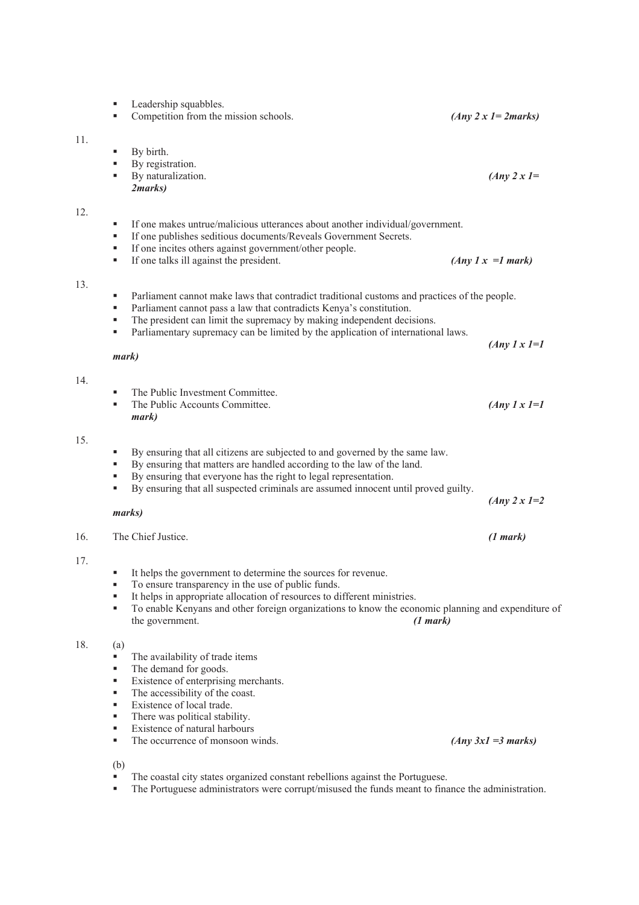|     | Leadership squabbles.<br>٠<br>Competition from the mission schools.<br>٠                                                                                                                                                                                                                                                                              | $(Any 2 x 1 = 2 marks)$       |
|-----|-------------------------------------------------------------------------------------------------------------------------------------------------------------------------------------------------------------------------------------------------------------------------------------------------------------------------------------------------------|-------------------------------|
| 11. | By birth.<br>٠<br>By registration.<br>٠<br>By naturalization.<br>٠<br>2marks)                                                                                                                                                                                                                                                                         | $(Any 2x1=$                   |
| 12. | If one makes untrue/malicious utterances about another individual/government.<br>٠<br>If one publishes seditious documents/Reveals Government Secrets.<br>٠<br>If one incites others against government/other people.<br>٠<br>If one talks ill against the president.<br>٠                                                                            | $(Any \; I \; x = I \; mark)$ |
| 13. | Parliament cannot make laws that contradict traditional customs and practices of the people.<br>٠<br>Parliament cannot pass a law that contradicts Kenya's constitution.<br>٠<br>The president can limit the supremacy by making independent decisions.<br>٠<br>Parliamentary supremacy can be limited by the application of international laws.<br>٠ | $(Any \, 1 \, x \, 1=1)$      |
| 14. | mark)<br>The Public Investment Committee.<br>٠<br>The Public Accounts Committee.<br>٠<br>mark)                                                                                                                                                                                                                                                        | $(Any \, 1 \, x \, 1=1)$      |
| 15. | By ensuring that all citizens are subjected to and governed by the same law.<br>٠<br>By ensuring that matters are handled according to the law of the land.<br>٠<br>By ensuring that everyone has the right to legal representation.<br>٠<br>By ensuring that all suspected criminals are assumed innocent until proved guilty.<br>٠<br>marks)        | $(Any 2 x 1=2)$               |
| 16. | The Chief Justice.                                                                                                                                                                                                                                                                                                                                    | (1 mark)                      |
| 17. | It helps the government to determine the sources for revenue.<br>To ensure transparency in the use of public funds.<br>٠<br>It helps in appropriate allocation of resources to different ministries.<br>٠<br>To enable Kenyans and other foreign organizations to know the economic planning and expenditure of<br>٠<br>the government.<br>(1 mark)   |                               |
| 18. | (a)<br>The availability of trade items<br>٠<br>The demand for goods.<br>٠<br>Existence of enterprising merchants.<br>٠<br>The accessibility of the coast.<br>٠<br>Existence of local trade.<br>٠<br>There was political stability.<br>٠<br>Existence of natural harbours<br>٠<br>The occurrence of monsoon winds.<br>٠                                | $(Any 3x1 = 3 marks)$         |

(b)

11.

12.

13.

14.

15.

17.

 $18.$ 

The coastal city states organized constant rebellions against the Portuguese.

**The Portuguese administrators were corrupt/misused the funds meant to finance the administration.**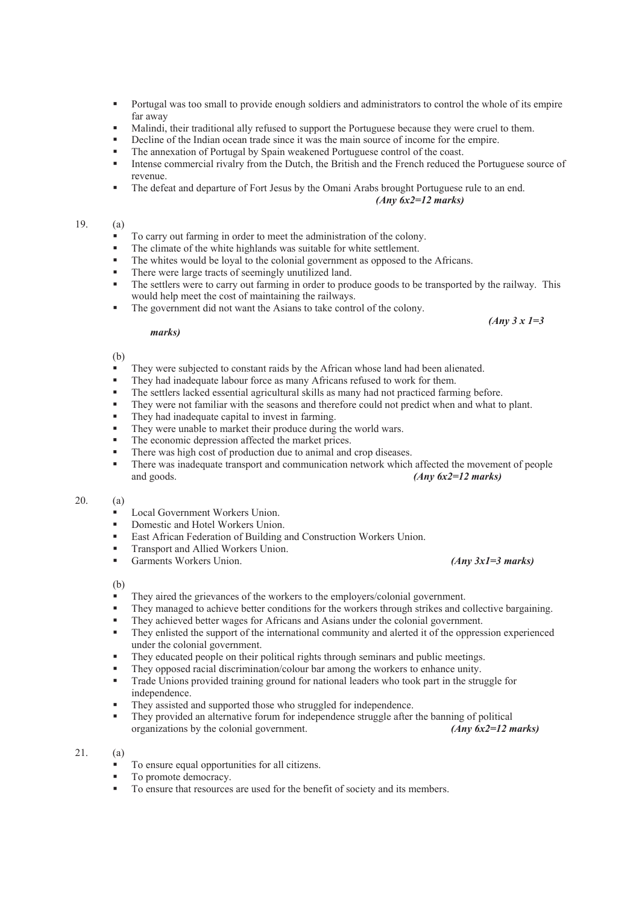- Portugal was too small to provide enough soldiers and administrators to control the whole of its empire far away
- Malindi, their traditional ally refused to support the Portuguese because they were cruel to them.
- Decline of the Indian ocean trade since it was the main source of income for the empire.
- The annexation of Portugal by Spain weakened Portuguese control of the coast.
- Intense commercial rivalry from the Dutch, the British and the French reduced the Portuguese source of revenue.
- The defeat and departure of Fort Jesus by the Omani Arabs brought Portuguese rule to an end. *(Any 6x2=12 marks)*

# 19. (a)

- To carry out farming in order to meet the administration of the colony.
- The climate of the white highlands was suitable for white settlement.
- The whites would be loyal to the colonial government as opposed to the Africans.
- There were large tracts of seemingly unutilized land.
- The settlers were to carry out farming in order to produce goods to be transported by the railway. This would help meet the cost of maintaining the railways.
- The government did not want the Asians to take control of the colony.

#### *marks)*

# (b)

- They were subjected to constant raids by the African whose land had been alienated.
- They had inadequate labour force as many Africans refused to work for them.
- The settlers lacked essential agricultural skills as many had not practiced farming before.<br>They were not familiar with the seasons and therefore could not predict when and what to
- They were not familiar with the seasons and therefore could not predict when and what to plant.<br>They had inadequate capital to invest in farming
- They had inadequate capital to invest in farming.
- They were unable to market their produce during the world wars.
- The economic depression affected the market prices.
- There was high cost of production due to animal and crop diseases.
- There was inadequate transport and communication network which affected the movement of people and goods. *(Any 6x2=12 marks)*

# 20. (a)

- Local Government Workers Union.
- **Domestic and Hotel Workers Union.**
- **East African Federation of Building and Construction Workers Union.**
- **Transport and Allied Workers Union.**
- Garments Workers Union. *(Any 3x1=3 marks)*

#### (b)

- They aired the grievances of the workers to the employers/colonial government.
- They managed to achieve better conditions for the workers through strikes and collective bargaining.
- They achieved better wages for Africans and Asians under the colonial government.
- They enlisted the support of the international community and alerted it of the oppression experienced under the colonial government.
- They educated people on their political rights through seminars and public meetings.
- They opposed racial discrimination/colour bar among the workers to enhance unity.
- Trade Unions provided training ground for national leaders who took part in the struggle for independence.
- They assisted and supported those who struggled for independence.
- They provided an alternative forum for independence struggle after the banning of political organizations by the colonial government. *(Any 6x2=12 marks)*

## 21. (a)

- To ensure equal opportunities for all citizens.
- To promote democracy.
- To ensure that resources are used for the benefit of society and its members.

# *(Any 3 x 1=3*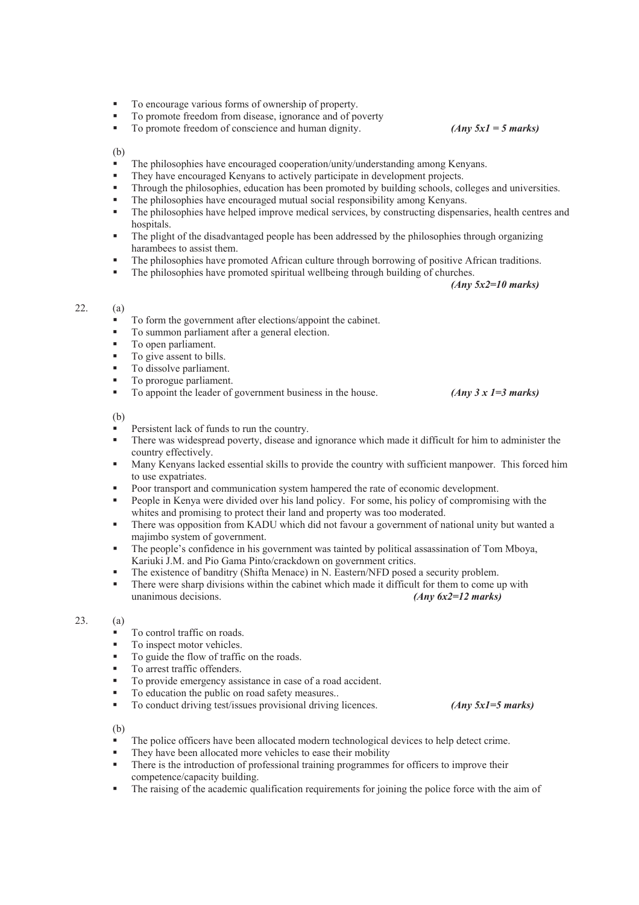- To encourage various forms of ownership of property.
- To promote freedom from disease, ignorance and of poverty<br>■ To promote freedom of conscience and human dignity
- To promote freedom of conscience and human dignity. *(Any 5x1 = 5 marks)*

# (b)

- The philosophies have encouraged cooperation/unity/understanding among Kenyans.
- They have encouraged Kenyans to actively participate in development projects.
- Through the philosophies, education has been promoted by building schools, colleges and universities.
- The philosophies have encouraged mutual social responsibility among Kenyans.
- The philosophies have helped improve medical services, by constructing dispensaries, health centres and hospitals.
- The plight of the disadvantaged people has been addressed by the philosophies through organizing harambees to assist them.
- The philosophies have promoted African culture through borrowing of positive African traditions.
- The philosophies have promoted spiritual wellbeing through building of churches.

*(Any 5x2=10 marks)* 

# 22. (a)

- To form the government after elections/appoint the cabinet.
- To summon parliament after a general election.
- To open parliament.
- To give assent to bills.
- To dissolve parliament.
- To prorogue parliament.
- To appoint the leader of government business in the house. *(Any 3 x 1 = 3 marks)*

(b)

- Persistent lack of funds to run the country.
- There was widespread poverty, disease and ignorance which made it difficult for him to administer the country effectively.
- Many Kenyans lacked essential skills to provide the country with sufficient manpower. This forced him to use expatriates.
- Poor transport and communication system hampered the rate of economic development.
- People in Kenya were divided over his land policy. For some, his policy of compromising with the whites and promising to protect their land and property was too moderated.
- There was opposition from KADU which did not favour a government of national unity but wanted a majimbo system of government.
- The people's confidence in his government was tainted by political assassination of Tom Mboya, Kariuki J.M. and Pio Gama Pinto/crackdown on government critics.
- The existence of banditry (Shifta Menace) in N. Eastern/NFD posed a security problem.
- There were sharp divisions within the cabinet which made it difficult for them to come up with unanimous decisions. *(Any 6x2=12 marks)*

#### 23. (a)

- To control traffic on roads.
- To inspect motor vehicles.
- To guide the flow of traffic on the roads.
- To arrest traffic offenders.
- To provide emergency assistance in case of a road accident.
- To education the public on road safety measures.<br>■ To conduct driving test/issues provisional driving
- To conduct driving test/issues provisional driving licences. *(Any 5x1=5 marks)*

- The police officers have been allocated modern technological devices to help detect crime.
- They have been allocated more vehicles to ease their mobility
- There is the introduction of professional training programmes for officers to improve their competence/capacity building.
- The raising of the academic qualification requirements for joining the police force with the aim of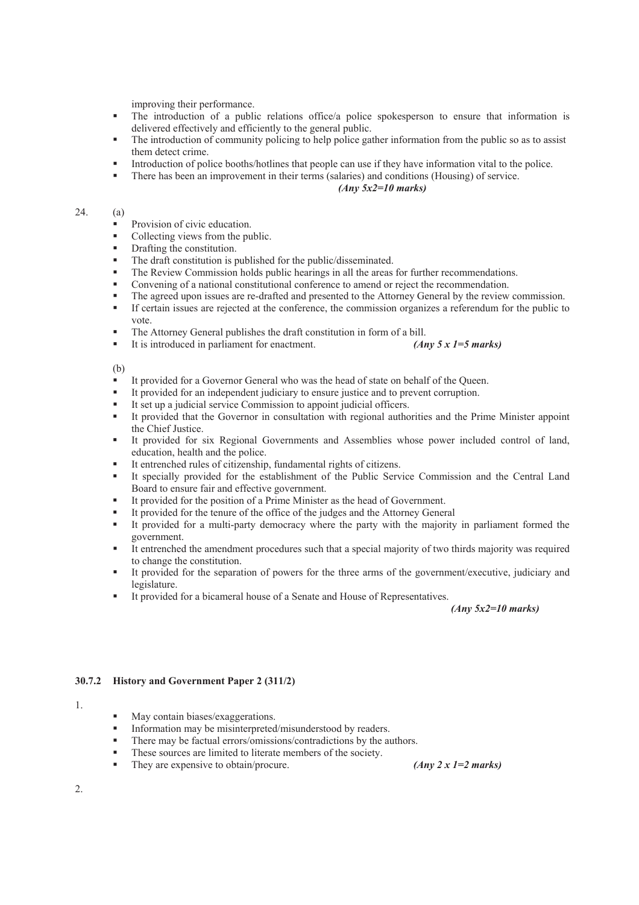improving their performance.

- The introduction of a public relations office/a police spokesperson to ensure that information is delivered effectively and efficiently to the general public.
- The introduction of community policing to help police gather information from the public so as to assist them detect crime.
- Introduction of police booths/hotlines that people can use if they have information vital to the police.
- There has been an improvement in their terms (salaries) and conditions (Housing) of service.

# *(Any 5x2=10 marks)*

## 24. (a)

- **Provision of civic education.**
- Collecting views from the public.
- Drafting the constitution.
- The draft constitution is published for the public/disseminated.
- The Review Commission holds public hearings in all the areas for further recommendations.
- Convening of a national constitutional conference to amend or reject the recommendation.
- The agreed upon issues are re-drafted and presented to the Attorney General by the review commission.
- If certain issues are rejected at the conference, the commission organizes a referendum for the public to vote.
- The Attorney General publishes the draft constitution in form of a bill.
- It is introduced in parliament for enactment. *(Any 5 x 1=5 marks)*

(b)

- It provided for a Governor General who was the head of state on behalf of the Queen.
- It provided for an independent judiciary to ensure justice and to prevent corruption.
- It set up a judicial service Commission to appoint judicial officers.<br>■ It provided that the Governor in consultation with regional author
- It provided that the Governor in consultation with regional authorities and the Prime Minister appoint the Chief Justice.
- It provided for six Regional Governments and Assemblies whose power included control of land, education, health and the police.
- It entrenched rules of citizenship, fundamental rights of citizens.
- It specially provided for the establishment of the Public Service Commission and the Central Land Board to ensure fair and effective government.
- It provided for the position of a Prime Minister as the head of Government.
- It provided for the tenure of the office of the judges and the Attorney General
- It provided for a multi-party democracy where the party with the majority in parliament formed the government.
- It entrenched the amendment procedures such that a special majority of two thirds majority was required to change the constitution.
- It provided for the separation of powers for the three arms of the government/executive, judiciary and legislature.
- It provided for a bicameral house of a Senate and House of Representatives.

*(Any 5x2=10 marks)* 

# **30.7.2 History and Government Paper 2 (311/2)**

#### 1.

- May contain biases/exaggerations.
- Information may be misinterpreted/misunderstood by readers.
- There may be factual errors/omissions/contradictions by the authors.
- These sources are limited to literate members of the society.
- They are expensive to obtain/procure. *(Any 2 x 1=2 marks)*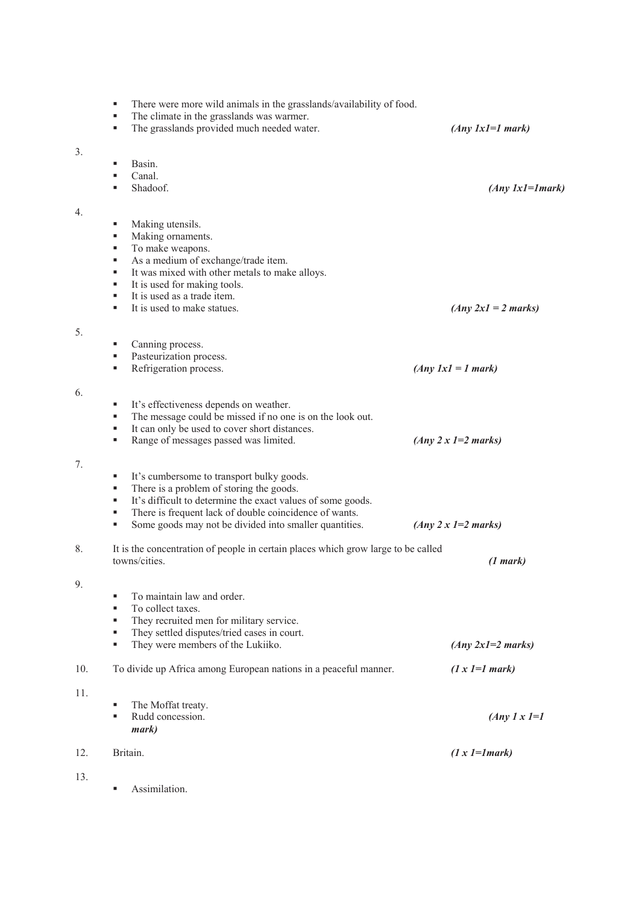|                  | There were more wild animals in the grasslands/availability of food.<br>The climate in the grasslands was warmer.<br>٠<br>The grasslands provided much needed water.<br>٠ | $(Any \; lxl=1 \; mark)$   |
|------------------|---------------------------------------------------------------------------------------------------------------------------------------------------------------------------|----------------------------|
| 3.               |                                                                                                                                                                           |                            |
|                  | Basin.                                                                                                                                                                    |                            |
|                  | Canal.                                                                                                                                                                    |                            |
|                  | Shadoof.                                                                                                                                                                  | $(Any \; lx1=1 mark)$      |
| $\overline{4}$ . |                                                                                                                                                                           |                            |
|                  | Making utensils.<br>٠                                                                                                                                                     |                            |
|                  | Making ornaments.<br>٠                                                                                                                                                    |                            |
|                  | To make weapons.<br>٠                                                                                                                                                     |                            |
|                  | As a medium of exchange/trade item.<br>٠                                                                                                                                  |                            |
|                  | It was mixed with other metals to make alloys.<br>٠                                                                                                                       |                            |
|                  | It is used for making tools.<br>٠<br>It is used as a trade item.<br>٠                                                                                                     |                            |
|                  | It is used to make statues.<br>٠                                                                                                                                          | $(Any 2x1 = 2 marks)$      |
|                  |                                                                                                                                                                           |                            |
| 5.               |                                                                                                                                                                           |                            |
|                  | Canning process.<br>٠                                                                                                                                                     |                            |
|                  | Pasteurization process.<br>٠                                                                                                                                              |                            |
|                  | Refrigeration process.                                                                                                                                                    | $(Any \; IxI = I \; mark)$ |
| 6.               |                                                                                                                                                                           |                            |
|                  | It's effectiveness depends on weather.<br>٠                                                                                                                               |                            |
|                  | The message could be missed if no one is on the look out.<br>٠                                                                                                            |                            |
|                  | It can only be used to cover short distances.<br>٠                                                                                                                        |                            |
|                  | Range of messages passed was limited.<br>٠                                                                                                                                | $(Any 2x 1=2 marks)$       |
| 7.               |                                                                                                                                                                           |                            |
|                  | It's cumbersome to transport bulky goods.<br>ш                                                                                                                            |                            |
|                  | There is a problem of storing the goods.<br>ш                                                                                                                             |                            |
|                  | It's difficult to determine the exact values of some goods.<br>٠                                                                                                          |                            |
|                  | There is frequent lack of double coincidence of wants.<br>ш                                                                                                               |                            |
|                  | Some goods may not be divided into smaller quantities.<br>٠                                                                                                               | $(Any 2x 1=2 marks)$       |
| 8.               | It is the concentration of people in certain places which grow large to be called                                                                                         |                            |
|                  | towns/cities.                                                                                                                                                             | (1 mark)                   |
|                  |                                                                                                                                                                           |                            |
| 9.               | To maintain law and order.<br>٠                                                                                                                                           |                            |
|                  | To collect taxes.<br>٠                                                                                                                                                    |                            |
|                  | They recruited men for military service.<br>٠                                                                                                                             |                            |
|                  | They settled disputes/tried cases in court.                                                                                                                               |                            |
|                  | They were members of the Lukiiko.<br>٠                                                                                                                                    | $(Any 2x1=2 marks)$        |
| 10.              | To divide up Africa among European nations in a peaceful manner.                                                                                                          | $(1 x 1=1 mark)$           |
|                  |                                                                                                                                                                           |                            |
| 11.              | ٠                                                                                                                                                                         |                            |
|                  | The Moffat treaty.<br>Rudd concession.<br>٠                                                                                                                               | $(Any \, 1 \, x \, 1=1)$   |
|                  | mark)                                                                                                                                                                     |                            |
|                  |                                                                                                                                                                           |                            |
| 12.              | Britain.                                                                                                                                                                  | $(1 x 1=1 mark)$           |
| 13.              |                                                                                                                                                                           |                            |
|                  | Assimilation.<br>٠                                                                                                                                                        |                            |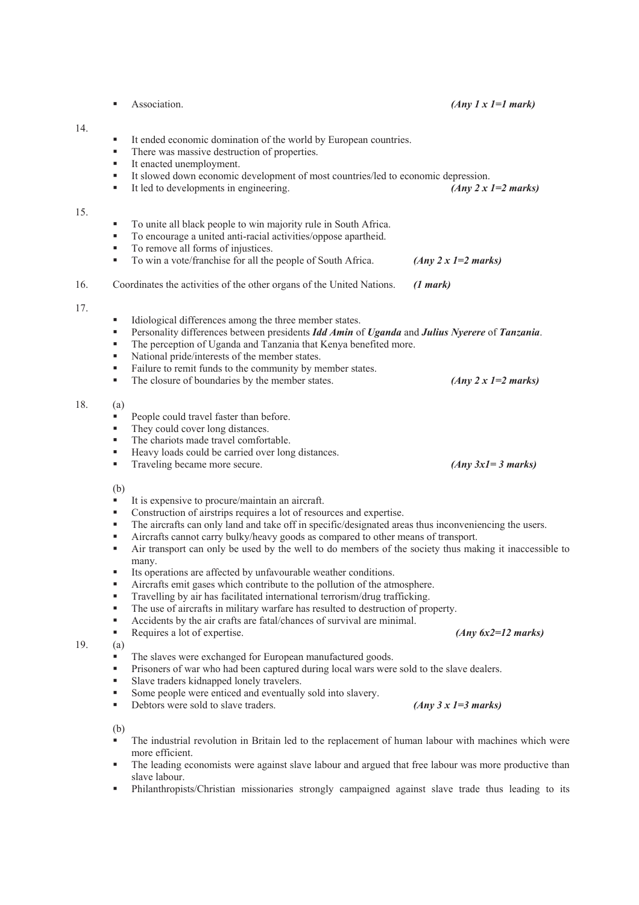Association. *(Any 1 x 1=1 mark)*  It ended economic domination of the world by European countries. There was massive destruction of properties. ■ It enacted unemployment. It slowed down economic development of most countries/led to economic depression. ■ It led to developments in engineering. *(Any 2 x 1=2 marks)*  To unite all black people to win majority rule in South Africa. To encourage a united anti-racial activities/oppose apartheid. ■ To remove all forms of injustices. To win a vote/franchise for all the people of South Africa. *(Any 2 x 1=2 marks)*  16. Coordinates the activities of the other organs of the United Nations. *(1 mark)* Idiological differences among the three member states. Personality differences between presidents *Idd Amin* of *Uganda* and *Julius Nyerere* of *Tanzania*. The perception of Uganda and Tanzania that Kenya benefited more. National pride/interests of the member states. Failure to remit funds to the community by member states. ■ The closure of boundaries by the member states. *(Any 2 x 1=2 marks)* 18. (a) People could travel faster than before. They could cover long distances. The chariots made travel comfortable. ■ Heavy loads could be carried over long distances. ■ Traveling became more secure. *(Any 3x1= 3 marks)* (b) It is expensive to procure/maintain an aircraft. Construction of airstrips requires a lot of resources and expertise. The aircrafts can only land and take off in specific/designated areas thus inconveniencing the users. Aircrafts cannot carry bulky/heavy goods as compared to other means of transport. Air transport can only be used by the well to do members of the society thus making it inaccessible to many. Its operations are affected by unfavourable weather conditions. Aircrafts emit gases which contribute to the pollution of the atmosphere. Travelling by air has facilitated international terrorism/drug trafficking. The use of aircrafts in military warfare has resulted to destruction of property. Accidents by the air crafts are fatal/chances of survival are minimal. Requires a lot of expertise. *(Any 6x2=12 marks)* 19. (a) The slaves were exchanged for European manufactured goods. Prisoners of war who had been captured during local wars were sold to the slave dealers. Slave traders kidnapped lonely travelers. Some people were enticed and eventually sold into slavery. Debtors were sold to slave traders. *(Any 3 x 1=3 marks)* (b) The industrial revolution in Britain led to the replacement of human labour with machines which were more efficient.

14.

15.

17.

- The leading economists were against slave labour and argued that free labour was more productive than slave labour.
- Philanthropists/Christian missionaries strongly campaigned against slave trade thus leading to its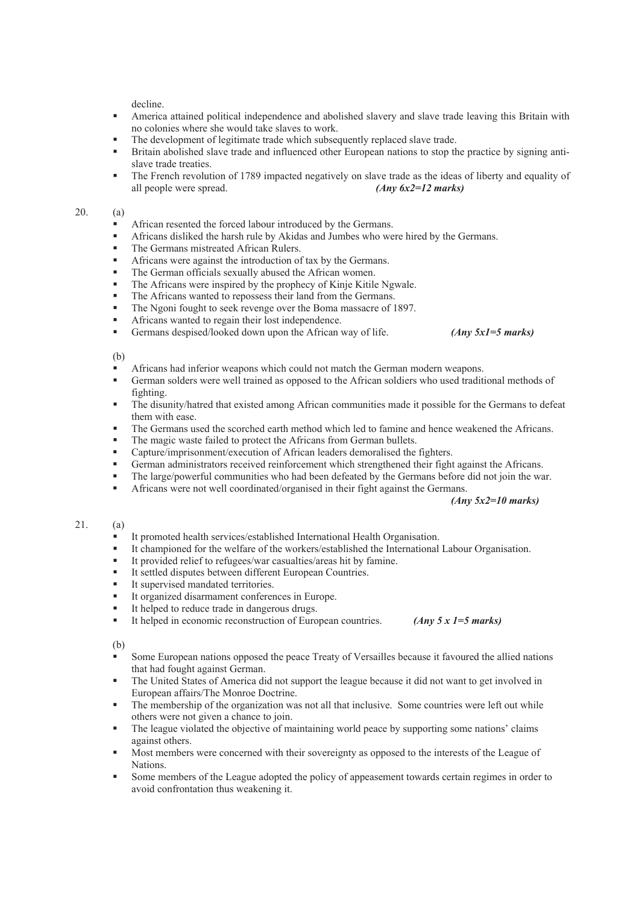decline.

- America attained political independence and abolished slavery and slave trade leaving this Britain with no colonies where she would take slaves to work.
- The development of legitimate trade which subsequently replaced slave trade.
- Britain abolished slave trade and influenced other European nations to stop the practice by signing antislave trade treaties.
- The French revolution of 1789 impacted negatively on slave trade as the ideas of liberty and equality of all people were spread. *(Any 6x2=12 marks)*

## 20. (a)

- African resented the forced labour introduced by the Germans.
- Africans disliked the harsh rule by Akidas and Jumbes who were hired by the Germans.
- The Germans mistreated African Rulers.
- Africans were against the introduction of tax by the Germans.
- The German officials sexually abused the African women.
- The Africans were inspired by the prophecy of Kinje Kitile Ngwale.
- The Africans wanted to repossess their land from the Germans.
- The Ngoni fought to seek revenge over the Boma massacre of 1897.
- Africans wanted to regain their lost independence.
	- Germans despised/looked down upon the African way of life. *(Any 5x1=5 marks)*

(b)

- Africans had inferior weapons which could not match the German modern weapons.
- German solders were well trained as opposed to the African soldiers who used traditional methods of fighting.
- The disunity/hatred that existed among African communities made it possible for the Germans to defeat them with ease.
- The Germans used the scorched earth method which led to famine and hence weakened the Africans.
- The magic waste failed to protect the Africans from German bullets.<br>Capture/imprisonment/execution of African leaders democratised the
- Capture/imprisonment/execution of African leaders demoralised the fighters.
- German administrators received reinforcement which strengthened their fight against the Africans.
- The large/powerful communities who had been defeated by the Germans before did not join the war.
- Africans were not well coordinated/organised in their fight against the Germans.

## *(Any 5x2=10 marks)*

## 21. (a)

- It promoted health services/established International Health Organisation.
- It championed for the welfare of the workers/established the International Labour Organisation.
- It provided relief to refugees/war casualties/areas hit by famine.
- It settled disputes between different European Countries.
- It supervised mandated territories.
- It organized disarmament conferences in Europe.
- It helped to reduce trade in dangerous drugs.
- It helped in economic reconstruction of European countries. *(Any 5 x 1=5 marks)*

- Some European nations opposed the peace Treaty of Versailles because it favoured the allied nations that had fought against German.
- The United States of America did not support the league because it did not want to get involved in European affairs/The Monroe Doctrine.
- The membership of the organization was not all that inclusive. Some countries were left out while others were not given a chance to join.
- The league violated the objective of maintaining world peace by supporting some nations' claims against others.
- Most members were concerned with their sovereignty as opposed to the interests of the League of Nations.
- Some members of the League adopted the policy of appeasement towards certain regimes in order to avoid confrontation thus weakening it.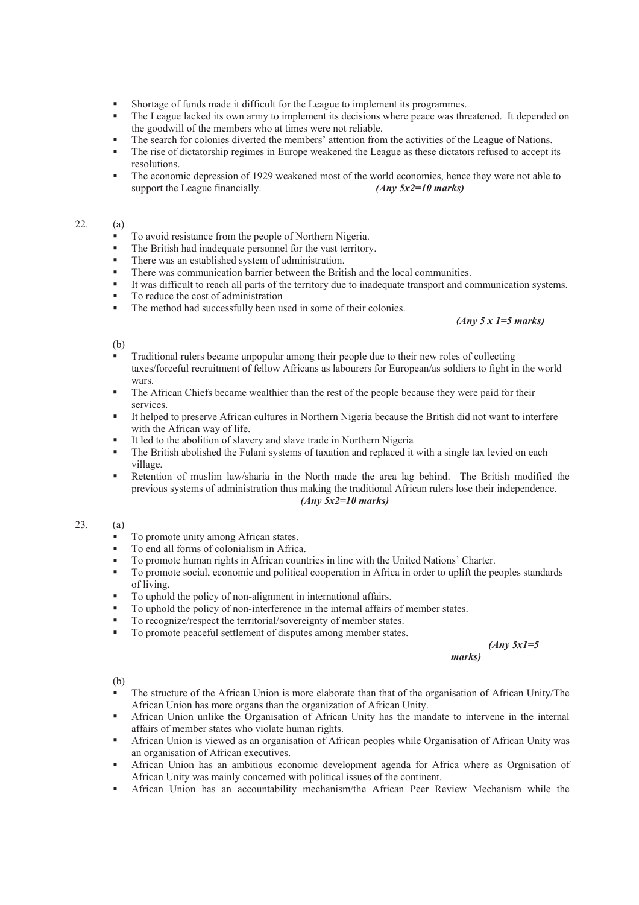- Shortage of funds made it difficult for the League to implement its programmes.
- The League lacked its own army to implement its decisions where peace was threatened. It depended on the goodwill of the members who at times were not reliable.
- The search for colonies diverted the members' attention from the activities of the League of Nations.
- The rise of dictatorship regimes in Europe weakened the League as these dictators refused to accept its resolutions.
- The economic depression of 1929 weakened most of the world economies, hence they were not able to support the League financially. *(Any 5x2=10 marks)*

# 22. (a)

- To avoid resistance from the people of Northern Nigeria.
- The British had inadequate personnel for the vast territory.
- There was an established system of administration.
- There was communication barrier between the British and the local communities.
- It was difficult to reach all parts of the territory due to inadequate transport and communication systems.
- To reduce the cost of administration
- The method had successfully been used in some of their colonies.

#### *(Any 5 x 1=5 marks)*

#### (b)

- Traditional rulers became unpopular among their people due to their new roles of collecting taxes/forceful recruitment of fellow Africans as labourers for European/as soldiers to fight in the world wars.
- The African Chiefs became wealthier than the rest of the people because they were paid for their services.
- It helped to preserve African cultures in Northern Nigeria because the British did not want to interfere with the African way of life.
- It led to the abolition of slavery and slave trade in Northern Nigeria
- The British abolished the Fulani systems of taxation and replaced it with a single tax levied on each village.
- Retention of muslim law/sharia in the North made the area lag behind. The British modified the previous systems of administration thus making the traditional African rulers lose their independence. *(Any 5x2=10 marks)*

# 23. (a)

- To promote unity among African states.
- To end all forms of colonialism in Africa.
- To promote human rights in African countries in line with the United Nations' Charter.
- To promote social, economic and political cooperation in Africa in order to uplift the peoples standards of living.
- To uphold the policy of non-alignment in international affairs.
- To uphold the policy of non-interference in the internal affairs of member states.
- To recognize/respect the territorial/sovereignty of member states.
- To promote peaceful settlement of disputes among member states.

*(Any 5x1=5 marks)* 

- The structure of the African Union is more elaborate than that of the organisation of African Unity/The African Union has more organs than the organization of African Unity.
- African Union unlike the Organisation of African Unity has the mandate to intervene in the internal affairs of member states who violate human rights.
- African Union is viewed as an organisation of African peoples while Organisation of African Unity was an organisation of African executives.
- African Union has an ambitious economic development agenda for Africa where as Orgnisation of African Unity was mainly concerned with political issues of the continent.
- African Union has an accountability mechanism/the African Peer Review Mechanism while the